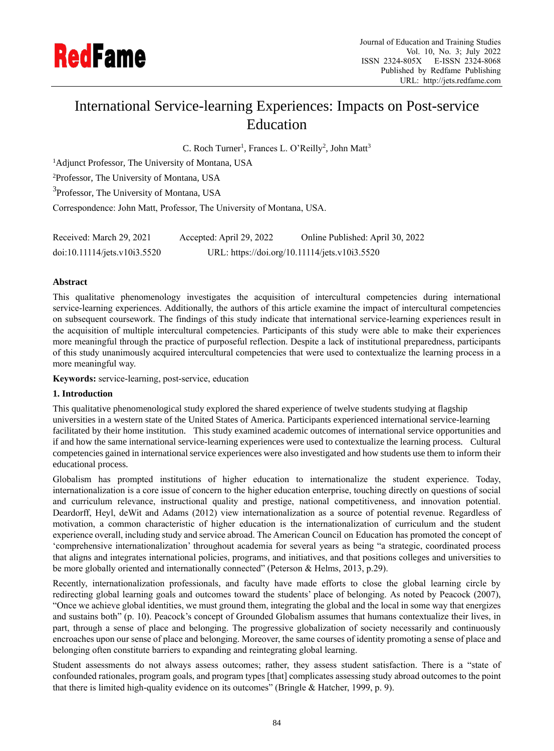

# International Service-learning Experiences: Impacts on Post-service Education

C. Roch Turner<sup>1</sup>, Frances L. O'Reilly<sup>2</sup>, John Matt<sup>3</sup>

<sup>1</sup>Adjunct Professor, The University of Montana, USA

<sup>2</sup>Professor, The University of Montana, USA

<sup>3</sup>Professor, The University of Montana, USA

Correspondence: John Matt, Professor, The University of Montana, USA.

| Received: March 29, 2021     | Accepted: April 29, 2022                      | Online Published: April 30, 2022 |
|------------------------------|-----------------------------------------------|----------------------------------|
| doi:10.11114/jets.v10i3.5520 | URL: https://doi.org/10.11114/jets.v10i3.5520 |                                  |

#### **Abstract**

This qualitative phenomenology investigates the acquisition of intercultural competencies during international service-learning experiences. Additionally, the authors of this article examine the impact of intercultural competencies on subsequent coursework. The findings of this study indicate that international service-learning experiences result in the acquisition of multiple intercultural competencies. Participants of this study were able to make their experiences more meaningful through the practice of purposeful reflection. Despite a lack of institutional preparedness, participants of this study unanimously acquired intercultural competencies that were used to contextualize the learning process in a more meaningful way.

**Keywords:** service-learning, post-service, education

#### **1. Introduction**

This qualitative phenomenological study explored the shared experience of twelve students studying at flagship universities in a western state of the United States of America. Participants experienced international service-learning facilitated by their home institution. This study examined academic outcomes of international service opportunities and if and how the same international service-learning experiences were used to contextualize the learning process. Cultural competencies gained in international service experiences were also investigated and how students use them to inform their educational process.

Globalism has prompted institutions of higher education to internationalize the student experience. Today, internationalization is a core issue of concern to the higher education enterprise, touching directly on questions of social and curriculum relevance, instructional quality and prestige, national competitiveness, and innovation potential. Deardorff, Heyl, deWit and Adams (2012) view internationalization as a source of potential revenue. Regardless of motivation, a common characteristic of higher education is the internationalization of curriculum and the student experience overall, including study and service abroad. The American Council on Education has promoted the concept of 'comprehensive internationalization' throughout academia for several years as being "a strategic, coordinated process that aligns and integrates international policies, programs, and initiatives, and that positions colleges and universities to be more globally oriented and internationally connected" (Peterson & Helms, 2013, p.29).

Recently, internationalization professionals, and faculty have made efforts to close the global learning circle by redirecting global learning goals and outcomes toward the students' place of belonging. As noted by Peacock (2007), "Once we achieve global identities, we must ground them, integrating the global and the local in some way that energizes and sustains both" (p. 10). Peacock's concept of Grounded Globalism assumes that humans contextualize their lives, in part, through a sense of place and belonging. The progressive globalization of society necessarily and continuously encroaches upon our sense of place and belonging. Moreover, the same courses of identity promoting a sense of place and belonging often constitute barriers to expanding and reintegrating global learning.

Student assessments do not always assess outcomes; rather, they assess student satisfaction. There is a "state of confounded rationales, program goals, and program types [that] complicates assessing study abroad outcomes to the point that there is limited high-quality evidence on its outcomes" (Bringle & Hatcher, 1999, p. 9).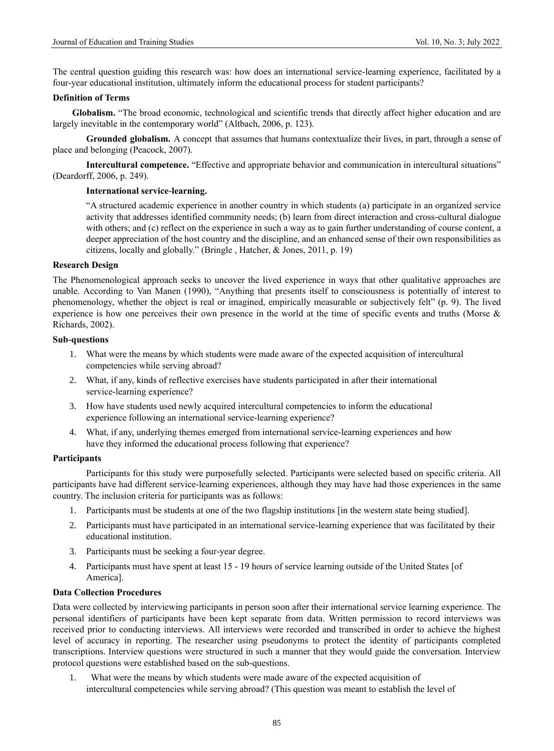The central question guiding this research was: how does an international service-learning experience, facilitated by a four-year educational institution, ultimately inform the educational process for student participants?

#### **Definition of Terms**

**Globalism.** "The broad economic, technological and scientific trends that directly affect higher education and are largely inevitable in the contemporary world" (Altbach, 2006, p. 123).

**Grounded globalism.** A concept that assumes that humans contextualize their lives, in part, through a sense of place and belonging (Peacock, 2007).

**Intercultural competence.** "Effective and appropriate behavior and communication in intercultural situations" (Deardorff, 2006, p. 249).

#### **International service-learning.**

"A structured academic experience in another country in which students (a) participate in an organized service activity that addresses identified community needs; (b) learn from direct interaction and cross-cultural dialogue with others; and (c) reflect on the experience in such a way as to gain further understanding of course content, a deeper appreciation of the host country and the discipline, and an enhanced sense of their own responsibilities as citizens, locally and globally." (Bringle , Hatcher, & Jones, 2011, p. 19)

#### **Research Design**

The Phenomenological approach seeks to uncover the lived experience in ways that other qualitative approaches are unable. According to Van Manen (1990), "Anything that presents itself to consciousness is potentially of interest to phenomenology, whether the object is real or imagined, empirically measurable or subjectively felt" (p. 9). The lived experience is how one perceives their own presence in the world at the time of specific events and truths (Morse & Richards, 2002).

#### **Sub-questions**

- 1. What were the means by which students were made aware of the expected acquisition of intercultural competencies while serving abroad?
- 2. What, if any, kinds of reflective exercises have students participated in after their international service-learning experience?
- 3. How have students used newly acquired intercultural competencies to inform the educational experience following an international service-learning experience?
- 4. What, if any, underlying themes emerged from international service-learning experiences and how have they informed the educational process following that experience?

#### **Participants**

Participants for this study were purposefully selected. Participants were selected based on specific criteria. All participants have had different service-learning experiences, although they may have had those experiences in the same country. The inclusion criteria for participants was as follows:

- 1. Participants must be students at one of the two flagship institutions [in the western state being studied].
- 2. Participants must have participated in an international service-learning experience that was facilitated by their educational institution.
- 3. Participants must be seeking a four-year degree.
- 4. Participants must have spent at least 15 19 hours of service learning outside of the United States [of America].

#### **Data Collection Procedures**

Data were collected by interviewing participants in person soon after their international service learning experience. The personal identifiers of participants have been kept separate from data. Written permission to record interviews was received prior to conducting interviews. All interviews were recorded and transcribed in order to achieve the highest level of accuracy in reporting. The researcher using pseudonyms to protect the identity of participants completed transcriptions. Interview questions were structured in such a manner that they would guide the conversation. Interview protocol questions were established based on the sub-questions.

1. What were the means by which students were made aware of the expected acquisition of intercultural competencies while serving abroad? (This question was meant to establish the level of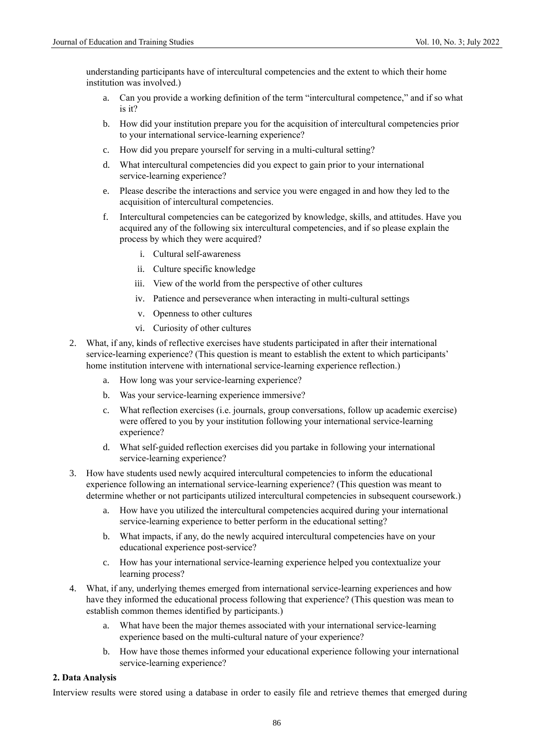understanding participants have of intercultural competencies and the extent to which their home institution was involved.)

- a. Can you provide a working definition of the term "intercultural competence," and if so what is it?
- b. How did your institution prepare you for the acquisition of intercultural competencies prior to your international service-learning experience?
- c. How did you prepare yourself for serving in a multi-cultural setting?
- d. What intercultural competencies did you expect to gain prior to your international service-learning experience?
- e. Please describe the interactions and service you were engaged in and how they led to the acquisition of intercultural competencies.
- f. Intercultural competencies can be categorized by knowledge, skills, and attitudes. Have you acquired any of the following six intercultural competencies, and if so please explain the process by which they were acquired?
	- i. Cultural self-awareness
	- ii. Culture specific knowledge
	- iii. View of the world from the perspective of other cultures
	- iv. Patience and perseverance when interacting in multi-cultural settings
	- v. Openness to other cultures
	- vi. Curiosity of other cultures
- 2. What, if any, kinds of reflective exercises have students participated in after their international service-learning experience? (This question is meant to establish the extent to which participants' home institution intervene with international service-learning experience reflection.)
	- a. How long was your service-learning experience?
	- b. Was your service-learning experience immersive?
	- c. What reflection exercises (i.e. journals, group conversations, follow up academic exercise) were offered to you by your institution following your international service-learning experience?
	- d. What self-guided reflection exercises did you partake in following your international service-learning experience?
- 3. How have students used newly acquired intercultural competencies to inform the educational experience following an international service-learning experience? (This question was meant to determine whether or not participants utilized intercultural competencies in subsequent coursework.)
	- a. How have you utilized the intercultural competencies acquired during your international service-learning experience to better perform in the educational setting?
	- b. What impacts, if any, do the newly acquired intercultural competencies have on your educational experience post-service?
	- c. How has your international service-learning experience helped you contextualize your learning process?
- 4. What, if any, underlying themes emerged from international service-learning experiences and how have they informed the educational process following that experience? (This question was mean to establish common themes identified by participants.)
	- a. What have been the major themes associated with your international service-learning experience based on the multi-cultural nature of your experience?
	- b. How have those themes informed your educational experience following your international service-learning experience?

#### **2. Data Analysis**

Interview results were stored using a database in order to easily file and retrieve themes that emerged during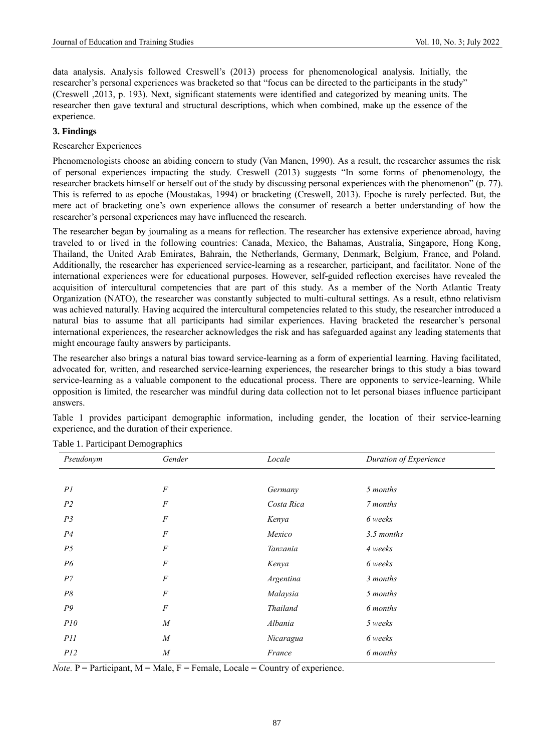data analysis. Analysis followed Creswell's (2013) process for phenomenological analysis. Initially, the researcher's personal experiences was bracketed so that "focus can be directed to the participants in the study" (Creswell ,2013, p. 193). Next, significant statements were identified and categorized by meaning units. The researcher then gave textural and structural descriptions, which when combined, make up the essence of the experience.

#### **3. Findings**

## Researcher Experiences

Phenomenologists choose an abiding concern to study (Van Manen, 1990). As a result, the researcher assumes the risk of personal experiences impacting the study. Creswell (2013) suggests "In some forms of phenomenology, the researcher brackets himself or herself out of the study by discussing personal experiences with the phenomenon" (p. 77). This is referred to as epoche (Moustakas, 1994) or bracketing (Creswell, 2013). Epoche is rarely perfected. But, the mere act of bracketing one's own experience allows the consumer of research a better understanding of how the researcher's personal experiences may have influenced the research.

The researcher began by journaling as a means for reflection. The researcher has extensive experience abroad, having traveled to or lived in the following countries: Canada, Mexico, the Bahamas, Australia, Singapore, Hong Kong, Thailand, the United Arab Emirates, Bahrain, the Netherlands, Germany, Denmark, Belgium, France, and Poland. Additionally, the researcher has experienced service-learning as a researcher, participant, and facilitator. None of the international experiences were for educational purposes. However, self-guided reflection exercises have revealed the acquisition of intercultural competencies that are part of this study. As a member of the North Atlantic Treaty Organization (NATO), the researcher was constantly subjected to multi-cultural settings. As a result, ethno relativism was achieved naturally. Having acquired the intercultural competencies related to this study, the researcher introduced a natural bias to assume that all participants had similar experiences. Having bracketed the researcher's personal international experiences, the researcher acknowledges the risk and has safeguarded against any leading statements that might encourage faulty answers by participants.

The researcher also brings a natural bias toward service-learning as a form of experiential learning. Having facilitated, advocated for, written, and researched service-learning experiences, the researcher brings to this study a bias toward service-learning as a valuable component to the educational process. There are opponents to service-learning. While opposition is limited, the researcher was mindful during data collection not to let personal biases influence participant answers.

Table 1 provides participant demographic information, including gender, the location of their service-learning experience, and the duration of their experience.

| Pseudonym      | Gender           | Locale          | Duration of Experience |
|----------------|------------------|-----------------|------------------------|
|                |                  |                 |                        |
| PI             | $\boldsymbol{F}$ | Germany         | 5 months               |
| P <sub>2</sub> | $\boldsymbol{F}$ | Costa Rica      | 7 months               |
| P <sub>3</sub> | $\boldsymbol{F}$ | Kenya           | 6 weeks                |
| P <sub>4</sub> | $\cal F$         | Mexico          | 3.5 months             |
| P <sub>5</sub> | $\boldsymbol{F}$ | Tanzania        | 4 weeks                |
| P6             | $\cal F$         | Kenya           | 6 weeks                |
| P7             | $\cal F$         | Argentina       | 3 months               |
| P8             | $\cal F$         | Malaysia        | 5 months               |
| P9             | $\boldsymbol{F}$ | <b>Thailand</b> | 6 months               |
| P10            | $\overline{M}$   | Albania         | 5 weeks                |
| P11            | $\overline{M}$   | Nicaragua       | 6 weeks                |
| P12            | $\overline{M}$   | France          | 6 months               |

Table 1. Participant Demographics

*Note.*  $P =$  Participant,  $M =$  Male,  $F =$  Female, Locale = Country of experience.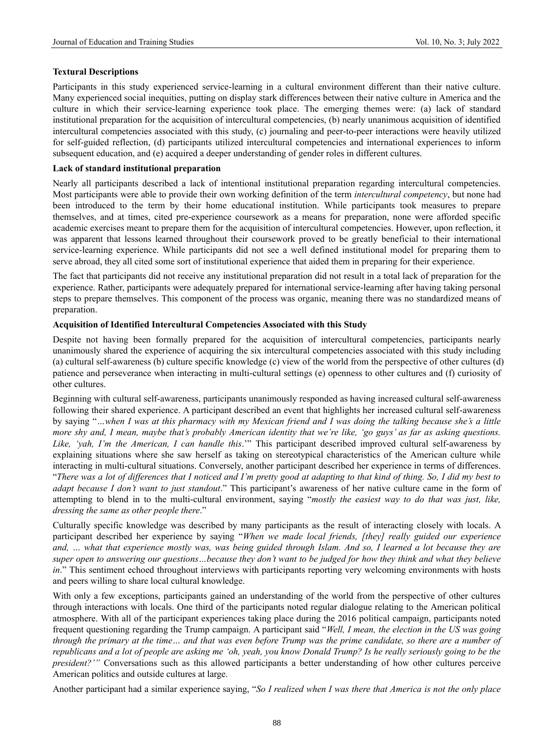#### **Textural Descriptions**

Participants in this study experienced service-learning in a cultural environment different than their native culture. Many experienced social inequities, putting on display stark differences between their native culture in America and the culture in which their service-learning experience took place. The emerging themes were: (a) lack of standard institutional preparation for the acquisition of intercultural competencies, (b) nearly unanimous acquisition of identified intercultural competencies associated with this study, (c) journaling and peer-to-peer interactions were heavily utilized for self-guided reflection, (d) participants utilized intercultural competencies and international experiences to inform subsequent education, and (e) acquired a deeper understanding of gender roles in different cultures.

#### **Lack of standard institutional preparation**

Nearly all participants described a lack of intentional institutional preparation regarding intercultural competencies. Most participants were able to provide their own working definition of the term *intercultural competency*, but none had been introduced to the term by their home educational institution. While participants took measures to prepare themselves, and at times, cited pre-experience coursework as a means for preparation, none were afforded specific academic exercises meant to prepare them for the acquisition of intercultural competencies. However, upon reflection, it was apparent that lessons learned throughout their coursework proved to be greatly beneficial to their international service-learning experience. While participants did not see a well defined institutional model for preparing them to serve abroad, they all cited some sort of institutional experience that aided them in preparing for their experience.

The fact that participants did not receive any institutional preparation did not result in a total lack of preparation for the experience. Rather, participants were adequately prepared for international service-learning after having taking personal steps to prepare themselves. This component of the process was organic, meaning there was no standardized means of preparation.

#### **Acquisition of Identified Intercultural Competencies Associated with this Study**

Despite not having been formally prepared for the acquisition of intercultural competencies, participants nearly unanimously shared the experience of acquiring the six intercultural competencies associated with this study including (a) cultural self-awareness (b) culture specific knowledge (c) view of the world from the perspective of other cultures (d) patience and perseverance when interacting in multi-cultural settings (e) openness to other cultures and (f) curiosity of other cultures.

Beginning with cultural self-awareness, participants unanimously responded as having increased cultural self-awareness following their shared experience. A participant described an event that highlights her increased cultural self-awareness by saying "*…when I was at this pharmacy with my Mexican friend and I was doing the talking because she's a little more shy and, I mean, maybe that's probably American identity that we're like, 'go guys' as far as asking questions. Like, 'yah, I'm the American, I can handle this*.'" This participant described improved cultural self-awareness by explaining situations where she saw herself as taking on stereotypical characteristics of the American culture while interacting in multi-cultural situations. Conversely, another participant described her experience in terms of differences. "*There was a lot of differences that I noticed and I'm pretty good at adapting to that kind of thing. So, I did my best to adapt because I don't want to just standout*." This participant's awareness of her native culture came in the form of attempting to blend in to the multi-cultural environment, saying "*mostly the easiest way to do that was just, like, dressing the same as other people there*."

Culturally specific knowledge was described by many participants as the result of interacting closely with locals. A participant described her experience by saying "*When we made local friends, [they] really guided our experience and, … what that experience mostly was, was being guided through Islam. And so, I learned a lot because they are super open to answering our questions…because they don't want to be judged for how they think and what they believe in*." This sentiment echoed throughout interviews with participants reporting very welcoming environments with hosts and peers willing to share local cultural knowledge.

With only a few exceptions, participants gained an understanding of the world from the perspective of other cultures through interactions with locals. One third of the participants noted regular dialogue relating to the American political atmosphere. With all of the participant experiences taking place during the 2016 political campaign, participants noted frequent questioning regarding the Trump campaign. A participant said "*Well, I mean, the election in the US was going through the primary at the time… and that was even before Trump was the prime candidate, so there are a number of republicans and a lot of people are asking me 'oh, yeah, you know Donald Trump? Is he really seriously going to be the president?'"* Conversations such as this allowed participants a better understanding of how other cultures perceive American politics and outside cultures at large.

Another participant had a similar experience saying, "*So I realized when I was there that America is not the only place*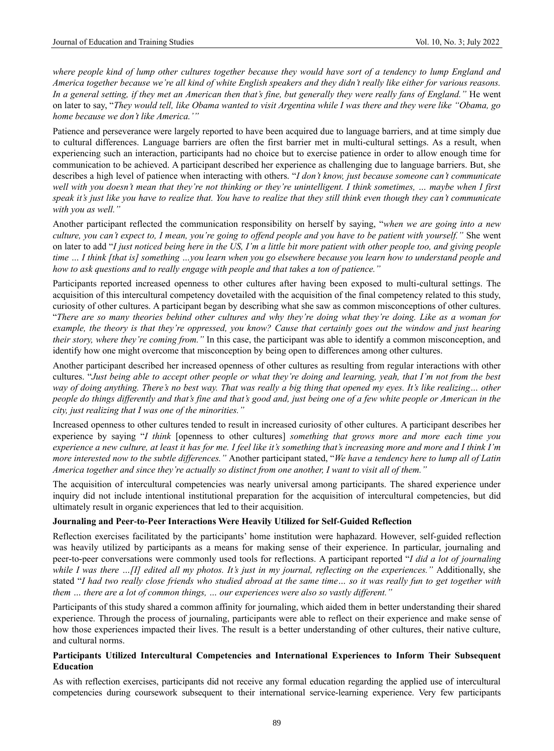where people kind of lump other cultures together because they would have sort of a tendency to lump England and *America together because we're all kind of white English speakers and they didn't really like either for various reasons. In a general setting, if they met an American then that's fine, but generally they were really fans of England."* He went on later to say, "*They would tell, like Obama wanted to visit Argentina while I was there and they were like "Obama, go home because we don't like America.'"*

Patience and perseverance were largely reported to have been acquired due to language barriers, and at time simply due to cultural differences. Language barriers are often the first barrier met in multi-cultural settings. As a result, when experiencing such an interaction, participants had no choice but to exercise patience in order to allow enough time for communication to be achieved. A participant described her experience as challenging due to language barriers. But, she describes a high level of patience when interacting with others. "*I don't know, just because someone can't communicate well with you doesn't mean that they're not thinking or they're unintelligent. I think sometimes, … maybe when I first speak it's just like you have to realize that. You have to realize that they still think even though they can't communicate with you as well."*

Another participant reflected the communication responsibility on herself by saying, "*when we are going into a new culture, you can't expect to, I mean, you're going to offend people and you have to be patient with yourself."* She went on later to add "*I just noticed being here in the US, I'm a little bit more patient with other people too, and giving people time … I think [that is] something …you learn when you go elsewhere because you learn how to understand people and how to ask questions and to really engage with people and that takes a ton of patience."*

Participants reported increased openness to other cultures after having been exposed to multi-cultural settings. The acquisition of this intercultural competency dovetailed with the acquisition of the final competency related to this study, curiosity of other cultures. A participant began by describing what she saw as common misconceptions of other cultures. "*There are so many theories behind other cultures and why they're doing what they're doing. Like as a woman for example, the theory is that they're oppressed, you know? Cause that certainly goes out the window and just hearing their story, where they're coming from."* In this case, the participant was able to identify a common misconception, and identify how one might overcome that misconception by being open to differences among other cultures.

Another participant described her increased openness of other cultures as resulting from regular interactions with other cultures. "*Just being able to accept other people or what they're doing and learning, yeah, that I'm not from the best way of doing anything. There's no best way. That was really a big thing that opened my eyes. It's like realizing… other people do things differently and that's fine and that's good and, just being one of a few white people or American in the city, just realizing that I was one of the minorities."*

Increased openness to other cultures tended to result in increased curiosity of other cultures. A participant describes her experience by saying "*I think* [openness to other cultures] *something that grows more and more each time you experience a new culture, at least it has for me. I feel like it's something that's increasing more and more and I think I'm more interested now to the subtle differences."* Another participant stated, "*We have a tendency here to lump all of Latin America together and since they're actually so distinct from one another, I want to visit all of them."*

The acquisition of intercultural competencies was nearly universal among participants. The shared experience under inquiry did not include intentional institutional preparation for the acquisition of intercultural competencies, but did ultimately result in organic experiences that led to their acquisition.

#### **Journaling and Peer-to-Peer Interactions Were Heavily Utilized for Self-Guided Reflection**

Reflection exercises facilitated by the participants' home institution were haphazard. However, self-guided reflection was heavily utilized by participants as a means for making sense of their experience. In particular, journaling and peer-to-peer conversations were commonly used tools for reflections. A participant reported "*I did a lot of journaling while I was there …[I] edited all my photos. It's just in my journal, reflecting on the experiences."* Additionally, she stated "*I had two really close friends who studied abroad at the same time… so it was really fun to get together with them … there are a lot of common things, … our experiences were also so vastly different."*

Participants of this study shared a common affinity for journaling, which aided them in better understanding their shared experience. Through the process of journaling, participants were able to reflect on their experience and make sense of how those experiences impacted their lives. The result is a better understanding of other cultures, their native culture, and cultural norms.

#### **Participants Utilized Intercultural Competencies and International Experiences to Inform Their Subsequent Education**

As with reflection exercises, participants did not receive any formal education regarding the applied use of intercultural competencies during coursework subsequent to their international service-learning experience. Very few participants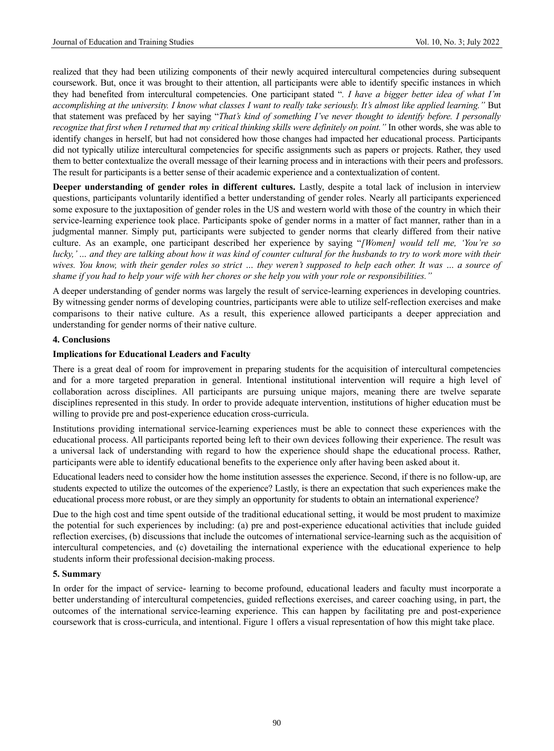realized that they had been utilizing components of their newly acquired intercultural competencies during subsequent coursework. But, once it was brought to their attention, all participants were able to identify specific instances in which they had benefited from intercultural competencies. One participant stated "*. I have a bigger better idea of what I'm accomplishing at the university. I know what classes I want to really take seriously. It's almost like applied learning."* But that statement was prefaced by her saying "*That's kind of something I've never thought to identify before. I personally recognize that first when I returned that my critical thinking skills were definitely on point."* In other words, she was able to identify changes in herself, but had not considered how those changes had impacted her educational process. Participants did not typically utilize intercultural competencies for specific assignments such as papers or projects. Rather, they used them to better contextualize the overall message of their learning process and in interactions with their peers and professors. The result for participants is a better sense of their academic experience and a contextualization of content.

**Deeper understanding of gender roles in different cultures.** Lastly, despite a total lack of inclusion in interview questions, participants voluntarily identified a better understanding of gender roles. Nearly all participants experienced some exposure to the juxtaposition of gender roles in the US and western world with those of the country in which their service-learning experience took place. Participants spoke of gender norms in a matter of fact manner, rather than in a judgmental manner. Simply put, participants were subjected to gender norms that clearly differed from their native culture. As an example, one participant described her experience by saying "*[Women] would tell me, 'You're so lucky,' … and they are talking about how it was kind of counter cultural for the husbands to try to work more with their wives. You know, with their gender roles so strict … they weren't supposed to help each other. It was … a source of shame if you had to help your wife with her chores or she help you with your role or responsibilities."*

A deeper understanding of gender norms was largely the result of service-learning experiences in developing countries. By witnessing gender norms of developing countries, participants were able to utilize self-reflection exercises and make comparisons to their native culture. As a result, this experience allowed participants a deeper appreciation and understanding for gender norms of their native culture.

## **4. Conclusions**

## **Implications for Educational Leaders and Faculty**

There is a great deal of room for improvement in preparing students for the acquisition of intercultural competencies and for a more targeted preparation in general. Intentional institutional intervention will require a high level of collaboration across disciplines. All participants are pursuing unique majors, meaning there are twelve separate disciplines represented in this study. In order to provide adequate intervention, institutions of higher education must be willing to provide pre and post-experience education cross-curricula.

Institutions providing international service-learning experiences must be able to connect these experiences with the educational process. All participants reported being left to their own devices following their experience. The result was a universal lack of understanding with regard to how the experience should shape the educational process. Rather, participants were able to identify educational benefits to the experience only after having been asked about it.

Educational leaders need to consider how the home institution assesses the experience. Second, if there is no follow-up, are students expected to utilize the outcomes of the experience? Lastly, is there an expectation that such experiences make the educational process more robust, or are they simply an opportunity for students to obtain an international experience?

Due to the high cost and time spent outside of the traditional educational setting, it would be most prudent to maximize the potential for such experiences by including: (a) pre and post-experience educational activities that include guided reflection exercises, (b) discussions that include the outcomes of international service-learning such as the acquisition of intercultural competencies, and (c) dovetailing the international experience with the educational experience to help students inform their professional decision-making process.

#### **5. Summary**

In order for the impact of service- learning to become profound, educational leaders and faculty must incorporate a better understanding of intercultural competencies, guided reflections exercises, and career coaching using, in part, the outcomes of the international service-learning experience. This can happen by facilitating pre and post-experience coursework that is cross-curricula, and intentional. Figure 1 offers a visual representation of how this might take place.